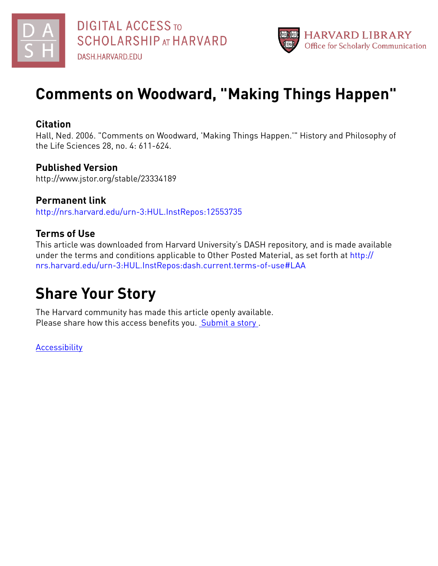



# **Comments on Woodward, "Making Things Happen"**

## **Citation**

Hall, Ned. 2006. "Comments on Woodward, 'Making Things Happen.'" History and Philosophy of the Life Sciences 28, no. 4: 611-624.

# **Published Version**

http://www.jstor.org/stable/23334189

**Permanent link** <http://nrs.harvard.edu/urn-3:HUL.InstRepos:12553735>

# **Terms of Use**

This article was downloaded from Harvard University's DASH repository, and is made available under the terms and conditions applicable to Other Posted Material, as set forth at [http://](http://nrs.harvard.edu/urn-3:HUL.InstRepos:dash.current.terms-of-use#LAA) [nrs.harvard.edu/urn-3:HUL.InstRepos:dash.current.terms-of-use#LAA](http://nrs.harvard.edu/urn-3:HUL.InstRepos:dash.current.terms-of-use#LAA)

# **Share Your Story**

The Harvard community has made this article openly available. Please share how this access benefits you. [Submit](http://osc.hul.harvard.edu/dash/open-access-feedback?handle=&title=Comments%20on%20Woodward,%20%22Making%20Things%20Happen%22&community=1/1&collection=1/2&owningCollection1/2&harvardAuthors=5100328720d30cfb9b1d4ca314baf0bc&departmentPhilosophy) a story.

**[Accessibility](https://dash.harvard.edu/pages/accessibility)**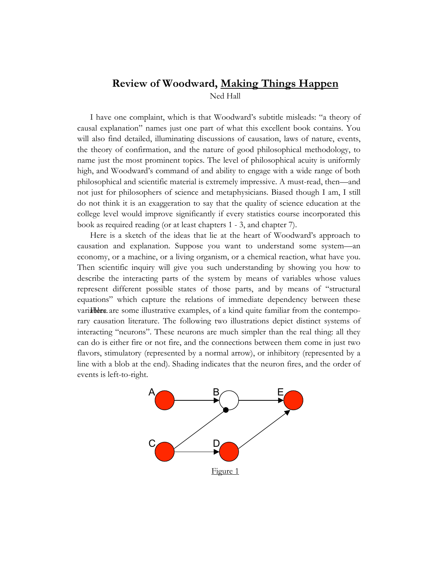## **Review of Woodward, Making Things Happen** Ned Hall

I have one complaint, which is that Woodward's subtitle misleads: "a theory of causal explanation" names just one part of what this excellent book contains. You will also find detailed, illuminating discussions of causation, laws of nature, events, the theory of confirmation, and the nature of good philosophical methodology, to name just the most prominent topics. The level of philosophical acuity is uniformly high, and Woodward's command of and ability to engage with a wide range of both philosophical and scientific material is extremely impressive. A must-read, then—and not just for philosophers of science and metaphysicians. Biased though I am, I still do not think it is an exaggeration to say that the quality of science education at the college level would improve significantly if every statistics course incorporated this book as required reading (or at least chapters 1 - 3, and chapter 7).

Here is a sketch of the ideas that lie at the heart of Woodward's approach to causation and explanation. Suppose you want to understand some system—an economy, or a machine, or a living organism, or a chemical reaction, what have you. Then scientific inquiry will give you such understanding by showing you how to describe the interacting parts of the system by means of variables whose values represent different possible states of those parts, and by means of "structural equations" which capture the relations of immediate dependency between these varialliers are some illustrative examples, of a kind quite familiar from the contemporary causation literature. The following two illustrations depict distinct systems of interacting "neurons". These neurons are much simpler than the real thing: all they can do is either fire or not fire, and the connections between them come in just two flavors, stimulatory (represented by a normal arrow), or inhibitory (represented by a line with a blob at the end). Shading indicates that the neuron fires, and the order of events is left-to-right.

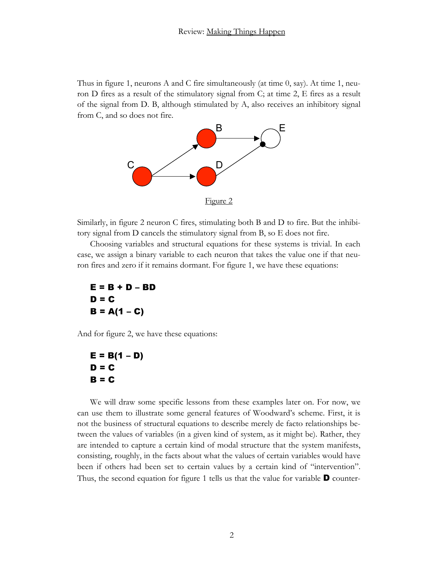Thus in figure 1, neurons A and C fire simultaneously (at time  $0$ , say). At time 1, neuron D fires as a result of the stimulatory signal from C; at time 2, E fires as a result of the signal from D. B, although stimulated by A, also receives an inhibitory signal from C, and so does not fire.



Similarly, in figure 2 neuron C fires, stimulating both B and D to fire. But the inhibitory signal from D cancels the stimulatory signal from B, so E does not fire.

Choosing variables and structural equations for these systems is trivial. In each case, we assign a binary variable to each neuron that takes the value one if that neuron fires and zero if it remains dormant. For figure 1, we have these equations:

E = B + D – BD D = C B = A(1 – C)

And for figure 2, we have these equations:

$$
E = B(1 - D)
$$
  
D = C  
B = C

We will draw some specific lessons from these examples later on. For now, we can use them to illustrate some general features of Woodward's scheme. First, it is not the business of structural equations to describe merely de facto relationships between the values of variables (in a given kind of system, as it might be). Rather, they are intended to capture a certain kind of modal structure that the system manifests, consisting, roughly, in the facts about what the values of certain variables would have been if others had been set to certain values by a certain kind of "intervention". Thus, the second equation for figure 1 tells us that the value for variable  $\mathbf D$  counter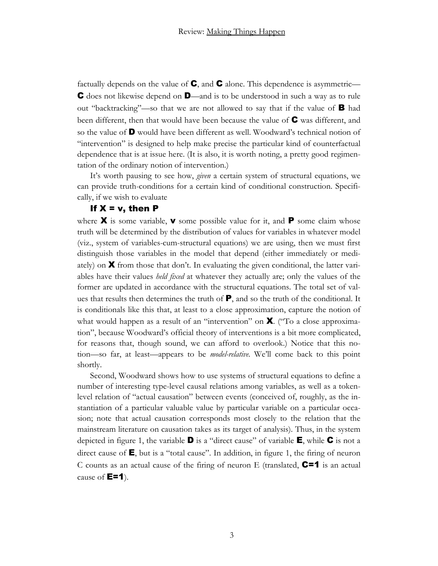factually depends on the value of  $\mathsf{C}$ , and  $\mathsf{C}$  alone. This dependence is asymmetric— C does not likewise depend on D—and is to be understood in such a way as to rule out "backtracking"—so that we are not allowed to say that if the value of B had been different, then that would have been because the value of  $\mathbf C$  was different, and so the value of D would have been different as well. Woodward's technical notion of "intervention" is designed to help make precise the particular kind of counterfactual dependence that is at issue here. (It is also, it is worth noting, a pretty good regimentation of the ordinary notion of intervention.)

It's worth pausing to see how, *given* a certain system of structural equations, we can provide truth-conditions for a certain kind of conditional construction. Specifically, if we wish to evaluate

#### If  $X = v$ , then  $P$

where **X** is some variable, **v** some possible value for it, and **P** some claim whose truth will be determined by the distribution of values for variables in whatever model (viz., system of variables-cum-structural equations) we are using, then we must first distinguish those variables in the model that depend (either immediately or mediately) on  $\boldsymbol{X}$  from those that don't. In evaluating the given conditional, the latter variables have their values *held fixed* at whatever they actually are; only the values of the former are updated in accordance with the structural equations. The total set of values that results then determines the truth of P, and so the truth of the conditional. It is conditionals like this that, at least to a close approximation, capture the notion of what would happen as a result of an "intervention" on  $\mathbf{X}$ . ("To a close approximation", because Woodward's official theory of interventions is a bit more complicated, for reasons that, though sound, we can afford to overlook.) Notice that this notion—so far, at least—appears to be *model-relative*. We'll come back to this point shortly.

Second, Woodward shows how to use systems of structural equations to define a number of interesting type-level causal relations among variables, as well as a tokenlevel relation of "actual causation" between events (conceived of, roughly, as the instantiation of a particular valuable value by particular variable on a particular occasion; note that actual causation corresponds most closely to the relation that the mainstream literature on causation takes as its target of analysis). Thus, in the system depicted in figure 1, the variable  $\mathbf D$  is a "direct cause" of variable  $\mathbf E$ , while  $\mathbf C$  is not a direct cause of  $E$ , but is a "total cause". In addition, in figure 1, the firing of neuron C counts as an actual cause of the firing of neuron E (translated,  $C=1$  is an actual cause of  $E=1$ ).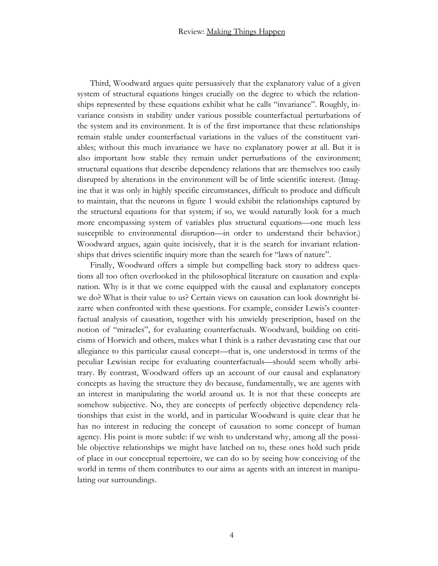Third, Woodward argues quite persuasively that the explanatory value of a given system of structural equations hinges crucially on the degree to which the relationships represented by these equations exhibit what he calls "invariance". Roughly, invariance consists in stability under various possible counterfactual perturbations of the system and its environment. It is of the first importance that these relationships remain stable under counterfactual variations in the values of the constituent variables; without this much invariance we have no explanatory power at all. But it is also important how stable they remain under perturbations of the environment; structural equations that describe dependency relations that are themselves too easily disrupted by alterations in the environment will be of little scientific interest. (Imagine that it was only in highly specific circumstances, difficult to produce and difficult to maintain, that the neurons in figure 1 would exhibit the relationships captured by the structural equations for that system; if so, we would naturally look for a much more encompassing system of variables plus structural equations—one much less susceptible to environmental disruption—in order to understand their behavior.) Woodward argues, again quite incisively, that it is the search for invariant relationships that drives scientific inquiry more than the search for "laws of nature".

Finally, Woodward offers a simple but compelling back story to address questions all too often overlooked in the philosophical literature on causation and explanation. Why is it that we come equipped with the causal and explanatory concepts we do? What is their value to us? Certain views on causation can look downright bizarre when confronted with these questions. For example, consider Lewis's counterfactual analysis of causation, together with his unwieldy prescription, based on the notion of "miracles", for evaluating counterfactuals. Woodward, building on criticisms of Horwich and others, makes what I think is a rather devastating case that our allegiance to this particular causal concept—that is, one understood in terms of the peculiar Lewisian recipe for evaluating counterfactuals—should seem wholly arbitrary. By contrast, Woodward offers up an account of our causal and explanatory concepts as having the structure they do because, fundamentally, we are agents with an interest in manipulating the world around us. It is not that these concepts are somehow subjective. No, they are concepts of perfectly objective dependency relationships that exist in the world, and in particular Woodward is quite clear that he has no interest in reducing the concept of causation to some concept of human agency. His point is more subtle: if we wish to understand why, among all the possible objective relationships we might have latched on to, these ones hold such pride of place in our conceptual repertoire, we can do so by seeing how conceiving of the world in terms of them contributes to our aims as agents with an interest in manipulating our surroundings.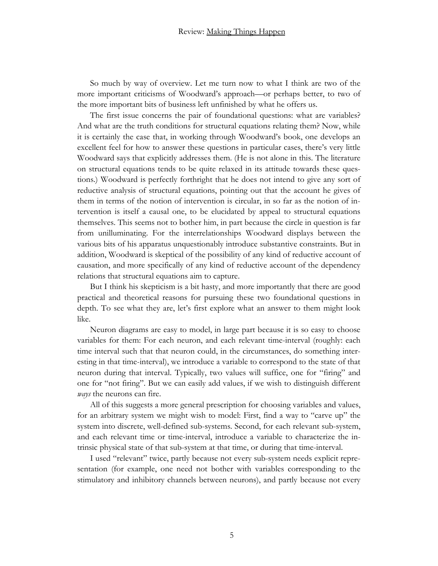So much by way of overview. Let me turn now to what I think are two of the more important criticisms of Woodward's approach—or perhaps better, to two of the more important bits of business left unfinished by what he offers us.

The first issue concerns the pair of foundational questions: what are variables? And what are the truth conditions for structural equations relating them? Now, while it is certainly the case that, in working through Woodward's book, one develops an excellent feel for how to answer these questions in particular cases, there's very little Woodward says that explicitly addresses them. (He is not alone in this. The literature on structural equations tends to be quite relaxed in its attitude towards these questions.) Woodward is perfectly forthright that he does not intend to give any sort of reductive analysis of structural equations, pointing out that the account he gives of them in terms of the notion of intervention is circular, in so far as the notion of intervention is itself a causal one, to be elucidated by appeal to structural equations themselves. This seems not to bother him, in part because the circle in question is far from unilluminating. For the interrelationships Woodward displays between the various bits of his apparatus unquestionably introduce substantive constraints. But in addition, Woodward is skeptical of the possibility of any kind of reductive account of causation, and more specifically of any kind of reductive account of the dependency relations that structural equations aim to capture.

But I think his skepticism is a bit hasty, and more importantly that there are good practical and theoretical reasons for pursuing these two foundational questions in depth. To see what they are, let's first explore what an answer to them might look like.

Neuron diagrams are easy to model, in large part because it is so easy to choose variables for them: For each neuron, and each relevant time-interval (roughly: each time interval such that that neuron could, in the circumstances, do something interesting in that time-interval), we introduce a variable to correspond to the state of that neuron during that interval. Typically, two values will suffice, one for "firing" and one for "not firing". But we can easily add values, if we wish to distinguish different *ways* the neurons can fire.

All of this suggests a more general prescription for choosing variables and values, for an arbitrary system we might wish to model: First, find a way to "carve up" the system into discrete, well-defined sub-systems. Second, for each relevant sub-system, and each relevant time or time-interval, introduce a variable to characterize the intrinsic physical state of that sub-system at that time, or during that time-interval.

I used "relevant" twice, partly because not every sub-system needs explicit representation (for example, one need not bother with variables corresponding to the stimulatory and inhibitory channels between neurons), and partly because not every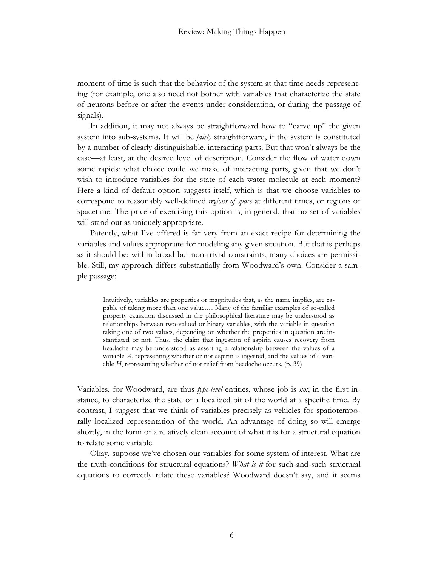moment of time is such that the behavior of the system at that time needs representing (for example, one also need not bother with variables that characterize the state of neurons before or after the events under consideration, or during the passage of signals).

In addition, it may not always be straightforward how to "carve up" the given system into sub-systems. It will be *fairly* straightforward, if the system is constituted by a number of clearly distinguishable, interacting parts. But that won't always be the case—at least, at the desired level of description. Consider the flow of water down some rapids: what choice could we make of interacting parts, given that we don't wish to introduce variables for the state of each water molecule at each moment? Here a kind of default option suggests itself, which is that we choose variables to correspond to reasonably well-defined *regions of space* at different times, or regions of spacetime. The price of exercising this option is, in general, that no set of variables will stand out as uniquely appropriate.

Patently, what I've offered is far very from an exact recipe for determining the variables and values appropriate for modeling any given situation. But that is perhaps as it should be: within broad but non-trivial constraints, many choices are permissible. Still, my approach differs substantially from Woodward's own. Consider a sample passage:

Intuitively, variables are properties or magnitudes that, as the name implies, are capable of taking more than one value.… Many of the familiar examples of so-called property causation discussed in the philosophical literature may be understood as relationships between two-valued or binary variables, with the variable in question taking one of two values, depending on whether the properties in question are instantiated or not. Thus, the claim that ingestion of aspirin causes recovery from headache may be understood as asserting a relationship between the values of a variable *A*, representing whether or not aspirin is ingested, and the values of a variable *H*, representing whether of not relief from headache occurs. (p. 39)

Variables, for Woodward, are thus *type-level* entities, whose job is *not*, in the first instance, to characterize the state of a localized bit of the world at a specific time. By contrast, I suggest that we think of variables precisely as vehicles for spatiotemporally localized representation of the world. An advantage of doing so will emerge shortly, in the form of a relatively clean account of what it is for a structural equation to relate some variable.

Okay, suppose we've chosen our variables for some system of interest. What are the truth-conditions for structural equations? *What is it* for such-and-such structural equations to correctly relate these variables? Woodward doesn't say, and it seems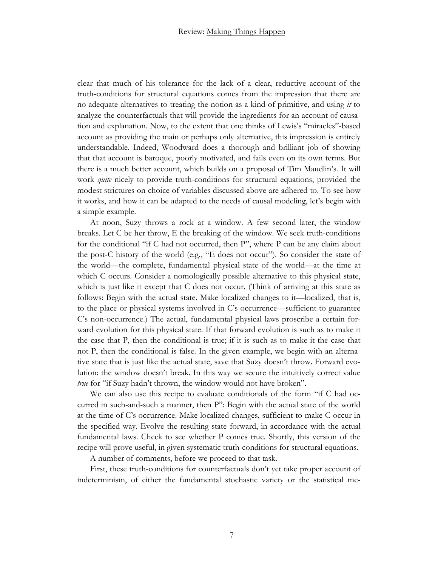clear that much of his tolerance for the lack of a clear, reductive account of the truth-conditions for structural equations comes from the impression that there are no adequate alternatives to treating the notion as a kind of primitive, and using *it* to analyze the counterfactuals that will provide the ingredients for an account of causation and explanation. Now, to the extent that one thinks of Lewis's "miracles"-based account as providing the main or perhaps only alternative, this impression is entirely understandable. Indeed, Woodward does a thorough and brilliant job of showing that that account is baroque, poorly motivated, and fails even on its own terms. But there is a much better account, which builds on a proposal of Tim Maudlin's. It will work *quite* nicely to provide truth-conditions for structural equations, provided the modest strictures on choice of variables discussed above are adhered to. To see how it works, and how it can be adapted to the needs of causal modeling, let's begin with a simple example.

At noon, Suzy throws a rock at a window. A few second later, the window breaks. Let C be her throw, E the breaking of the window. We seek truth-conditions for the conditional "if C had not occurred, then P", where P can be any claim about the post-C history of the world (e.g., "E does not occur"). So consider the state of the world—the complete, fundamental physical state of the world—at the time at which C occurs. Consider a nomologically possible alternative to this physical state, which is just like it except that C does not occur. (Think of arriving at this state as follows: Begin with the actual state. Make localized changes to it—localized, that is, to the place or physical systems involved in C's occurrence—sufficient to guarantee C's non-occurrence.) The actual, fundamental physical laws proscribe a certain forward evolution for this physical state. If that forward evolution is such as to make it the case that P, then the conditional is true; if it is such as to make it the case that not-P, then the conditional is false. In the given example, we begin with an alternative state that is just like the actual state, save that Suzy doesn't throw. Forward evolution: the window doesn't break. In this way we secure the intuitively correct value *true* for "if Suzy hadn't thrown, the window would not have broken".

We can also use this recipe to evaluate conditionals of the form "if C had occurred in such-and-such a manner, then P": Begin with the actual state of the world at the time of C's occurrence. Make localized changes, sufficient to make C occur in the specified way. Evolve the resulting state forward, in accordance with the actual fundamental laws. Check to see whether P comes true. Shortly, this version of the recipe will prove useful, in given systematic truth-conditions for structural equations.

A number of comments, before we proceed to that task.

First, these truth-conditions for counterfactuals don't yet take proper account of indeterminism, of either the fundamental stochastic variety or the statistical me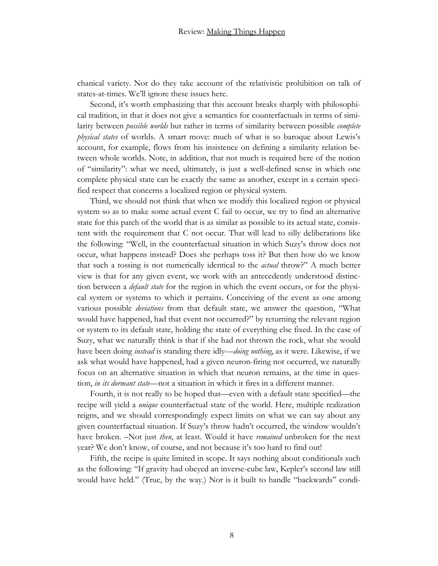chanical variety. Nor do they take account of the relativistic prohibition on talk of states-at-times. We'll ignore these issues here.

Second, it's worth emphasizing that this account breaks sharply with philosophical tradition, in that it does not give a semantics for counterfactuals in terms of similarity between *possible worlds* but rather in terms of similarity between possible *complete physical states* of worlds. A smart move: much of what is so baroque about Lewis's account, for example, flows from his insistence on defining a similarity relation between whole worlds. Note, in addition, that not much is required here of the notion of "similarity": what we need, ultimately, is just a well-defined sense in which one complete physical state can be exactly the same as another, except in a certain specified respect that concerns a localized region or physical system.

Third, we should not think that when we modify this localized region or physical system so as to make some actual event C fail to occur, we try to find an alternative state for this patch of the world that is as similar as possible to its actual state, consistent with the requirement that C not occur. That will lead to silly deliberations like the following: "Well, in the counterfactual situation in which Suzy's throw does not occur, what happens instead? Does she perhaps toss it? But then how do we know that such a tossing is not numerically identical to the *actual* throw?" A much better view is that for any given event, we work with an antecedently understood distinction between a *default state* for the region in which the event occurs, or for the physical system or systems to which it pertains. Conceiving of the event as one among various possible *deviations* from that default state, we answer the question, "What would have happened, had that event not occurred?" by returning the relevant region or system to its default state, holding the state of everything else fixed. In the case of Suzy, what we naturally think is that if she had not thrown the rock, what she would have been doing *instead* is standing there idly—*doing nothing*, as it were. Likewise, if we ask what would have happened, had a given neuron-firing not occurred, we naturally focus on an alternative situation in which that neuron remains, at the time in question, *in its dormant state*—not a situation in which it fires in a different manner.

Fourth, it is not really to be hoped that—even with a default state specified—the recipe will yield a *unique* counterfactual state of the world. Here, multiple realization reigns, and we should correspondingly expect limits on what we can say about any given counterfactual situation. If Suzy's throw hadn't occurred, the window wouldn't have broken. –Not just *then*, at least. Would it have *remained* unbroken for the next year? We don't know, of course, and not because it's too hard to find out!

Fifth, the recipe is quite limited in scope. It says nothing about conditionals such as the following: "If gravity had obeyed an inverse-cube law, Kepler's second law still would have held." (True, by the way.) Nor is it built to handle "backwards" condi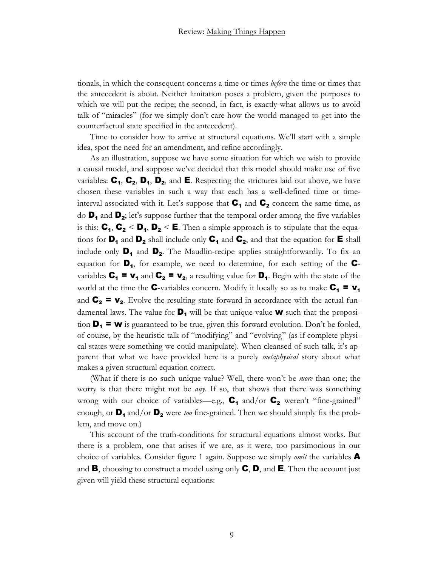tionals, in which the consequent concerns a time or times *before* the time or times that the antecedent is about. Neither limitation poses a problem, given the purposes to which we will put the recipe; the second, in fact, is exactly what allows us to avoid talk of "miracles" (for we simply don't care how the world managed to get into the counterfactual state specified in the antecedent).

Time to consider how to arrive at structural equations. We'll start with a simple idea, spot the need for an amendment, and refine accordingly.

As an illustration, suppose we have some situation for which we wish to provide a causal model, and suppose we've decided that this model should make use of five variables:  $\mathbf{C}_1$ ,  $\mathbf{C}_2$ ,  $\mathbf{D}_1$ ,  $\mathbf{D}_2$ , and  $\mathbf{E}$ . Respecting the strictures laid out above, we have chosen these variables in such a way that each has a well-defined time or timeinterval associated with it. Let's suppose that  $C_1$  and  $C_2$  concern the same time, as do  $\mathbf{D}_1$  and  $\mathbf{D}_2$ ; let's suppose further that the temporal order among the five variables is this:  $C_1$ ,  $C_2$  <  $D_1$ ,  $D_2$  < **E**. Then a simple approach is to stipulate that the equations for  $D_1$  and  $D_2$  shall include only  $C_1$  and  $C_2$ , and that the equation for  $E$  shall include only  $\mathbf{D}_1$  and  $\mathbf{D}_2$ . The Maudlin-recipe applies straightforwardly. To fix an equation for  $\mathbf{D}_1$ , for example, we need to determine, for each setting of the  $\mathbf{C}$ variables  $C_1 = v_1$  and  $C_2 = v_2$ , a resulting value for  $D_1$ . Begin with the state of the world at the time the **C**-variables concern. Modify it locally so as to make  $C_1 = v_1$ and  $C_2 = V_2$ . Evolve the resulting state forward in accordance with the actual fundamental laws. The value for  $\mathbf{D}_1$  will be that unique value **w** such that the proposition  $D_1 = w$  is guaranteed to be true, given this forward evolution. Don't be fooled, of course, by the heuristic talk of "modifying" and "evolving" (as if complete physical states were something we could manipulate). When cleansed of such talk, it's apparent that what we have provided here is a purely *metaphysical* story about what makes a given structural equation correct.

(What if there is no such unique value? Well, there won't be *more* than one; the worry is that there might not be *any*. If so, that shows that there was something wrong with our choice of variables—e.g.,  $C_1$  and/or  $C_2$  weren't "fine-grained" enough, or  $\mathbf{D}_1$  and/or  $\mathbf{D}_2$  were *too* fine-grained. Then we should simply fix the problem, and move on.)

This account of the truth-conditions for structural equations almost works. But there is a problem, one that arises if we are, as it were, too parsimonious in our choice of variables. Consider figure 1 again. Suppose we simply *omit* the variables A and **B**, choosing to construct a model using only  $\mathbf{C}, \mathbf{D}$ , and **E**. Then the account just given will yield these structural equations: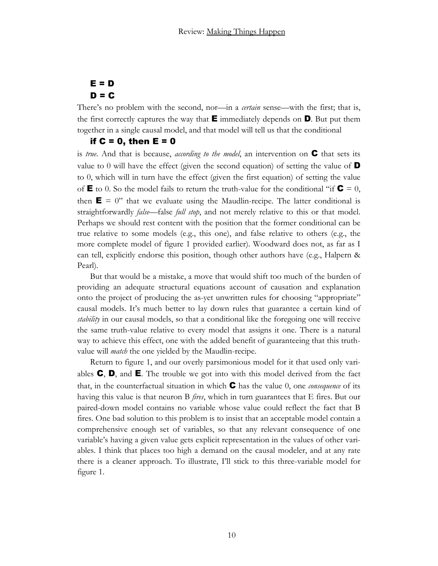# $E = D$  $D = C$

There's no problem with the second, nor—in a *certain* sense—with the first; that is, the first correctly captures the way that  $\mathbf{E}$  immediately depends on  $\mathbf{D}$ . But put them together in a single causal model, and that model will tell us that the conditional

### if  $C = 0$ , then  $E = 0$

is *true*. And that is because, *according to the model*, an intervention on C that sets its value to 0 will have the effect (given the second equation) of setting the value of  $\mathbf D$ to 0, which will in turn have the effect (given the first equation) of setting the value of  $\mathbf{E}$  to 0. So the model fails to return the truth-value for the conditional "if  $\mathbf{C} = 0$ , then  $\mathbf{E} = 0$ " that we evaluate using the Maudlin-recipe. The latter conditional is straightforwardly *false*—false *full stop*, and not merely relative to this or that model. Perhaps we should rest content with the position that the former conditional can be true relative to some models (e.g., this one), and false relative to others (e.g., the more complete model of figure 1 provided earlier). Woodward does not, as far as I can tell, explicitly endorse this position, though other authors have (e.g., Halpern & Pearl).

But that would be a mistake, a move that would shift too much of the burden of providing an adequate structural equations account of causation and explanation onto the project of producing the as-yet unwritten rules for choosing "appropriate" causal models. It's much better to lay down rules that guarantee a certain kind of *stability* in our causal models, so that a conditional like the foregoing one will receive the same truth-value relative to every model that assigns it one. There is a natural way to achieve this effect, one with the added benefit of guaranteeing that this truthvalue will *match* the one yielded by the Maudlin-recipe.

Return to figure 1, and our overly parsimonious model for it that used only variables  $\mathbf{C}, \mathbf{D},$  and  $\mathbf{E}$ . The trouble we got into with this model derived from the fact that, in the counterfactual situation in which C has the value 0, one *consequence* of its having this value is that neuron B *fires*, which in turn guarantees that E fires. But our paired-down model contains no variable whose value could reflect the fact that B fires. One bad solution to this problem is to insist that an acceptable model contain a comprehensive enough set of variables, so that any relevant consequence of one variable's having a given value gets explicit representation in the values of other variables. I think that places too high a demand on the causal modeler, and at any rate there is a cleaner approach. To illustrate, I'll stick to this three-variable model for figure 1.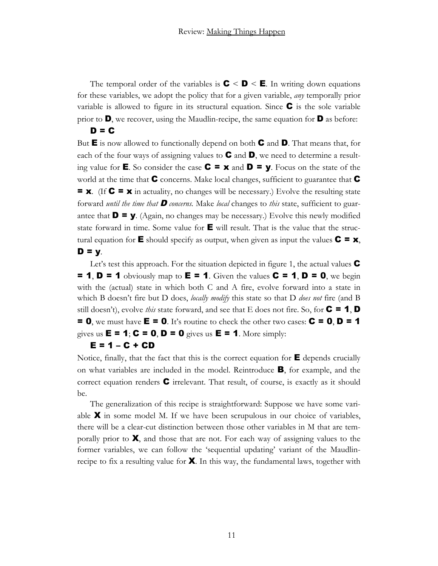The temporal order of the variables is  $C < D < E$ . In writing down equations for these variables, we adopt the policy that for a given variable, *any* temporally prior variable is allowed to figure in its structural equation. Since  $\mathbf C$  is the sole variable prior to  $\mathbf{D}$ , we recover, using the Maudlin-recipe, the same equation for  $\mathbf{D}$  as before:  $D = C$ 

But  $E$  is now allowed to functionally depend on both  $C$  and  $D$ . That means that, for each of the four ways of assigning values to  $\mathbf C$  and  $\mathbf D$ , we need to determine a resulting value for **E**. So consider the case  $C = x$  and  $D = y$ . Focus on the state of the world at the time that  $\mathbf C$  concerns. Make local changes, sufficient to guarantee that  $\mathbf C$  $= x$ . (If  $C = x$  in actuality, no changes will be necessary.) Evolve the resulting state forward *until the time that* D *concerns.* Make *local* changes to *this* state, sufficient to guarantee that  $\mathbf{D} = \mathbf{y}$ . (Again, no changes may be necessary.) Evolve this newly modified state forward in time. Some value for  $\blacksquare$  will result. That is the value that the structural equation for **E** should specify as output, when given as input the values  $C = x$ ,  $D = y$ .

Let's test this approach. For the situation depicted in figure 1, the actual values  $\mathbf C$  $= 1$ ,  $D = 1$  obviously map to  $E = 1$ . Given the values  $C = 1$ ,  $D = 0$ , we begin with the (actual) state in which both C and A fire, evolve forward into a state in which B doesn't fire but D does, *locally modify* this state so that D *does not* fire (and B still doesn't), evolve *this* state forward, and see that E does not fire. So, for  $C = 1$ , D  $= 0$ , we must have  $E = 0$ . It's routine to check the other two cases:  $C = 0, D = 1$ gives us  $\mathbf{E} = \mathbf{1}; \mathbf{C} = \mathbf{0}, \mathbf{D} = \mathbf{0}$  gives us  $\mathbf{E} = \mathbf{1}$ . More simply:

#### $E = 1 - C + CD$

Notice, finally, that the fact that this is the correct equation for  $E$  depends crucially on what variables are included in the model. Reintroduce B, for example, and the correct equation renders  $\mathbb C$  irrelevant. That result, of course, is exactly as it should be.

The generalization of this recipe is straightforward: Suppose we have some variable  $\boldsymbol{X}$  in some model M. If we have been scrupulous in our choice of variables, there will be a clear-cut distinction between those other variables in M that are temporally prior to  $\mathbf{X}$ , and those that are not. For each way of assigning values to the former variables, we can follow the 'sequential updating' variant of the Maudlinrecipe to fix a resulting value for  $\mathbf X$ . In this way, the fundamental laws, together with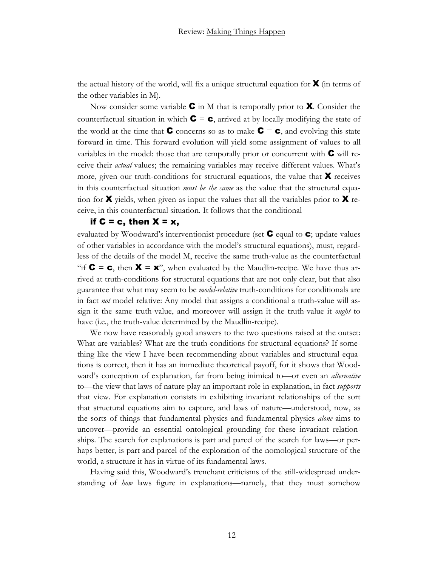the actual history of the world, will fix a unique structural equation for  $\boldsymbol{X}$  (in terms of the other variables in M).

Now consider some variable  $\mathbf C$  in M that is temporally prior to  $\mathbf X$ . Consider the counterfactual situation in which  $\mathbf{C} = \mathbf{c}$ , arrived at by locally modifying the state of the world at the time that **C** concerns so as to make  $C = c$ , and evolving this state forward in time. This forward evolution will yield some assignment of values to all variables in the model: those that are temporally prior or concurrent with  $\mathbf C$  will receive their *actual* values; the remaining variables may receive different values. What's more, given our truth-conditions for structural equations, the value that  $\boldsymbol{X}$  receives in this counterfactual situation *must be the same* as the value that the structural equation for **X** yields, when given as input the values that all the variables prior to **X** receive, in this counterfactual situation. It follows that the conditional

#### if  $C = c$ , then  $X = x$ ,

evaluated by Woodward's interventionist procedure (set  $\mathsf C$  equal to  $\mathsf c$ ; update values of other variables in accordance with the model's structural equations), must, regardless of the details of the model M, receive the same truth-value as the counterfactual "if  $C = c$ , then  $X = x$ ", when evaluated by the Maudlin-recipe. We have thus arrived at truth-conditions for structural equations that are not only clear, but that also guarantee that what may seem to be *model-relative* truth-conditions for conditionals are in fact *not* model relative: Any model that assigns a conditional a truth-value will assign it the same truth-value, and moreover will assign it the truth-value it *ought* to have (i.e., the truth-value determined by the Maudlin-recipe).

We now have reasonably good answers to the two questions raised at the outset: What are variables? What are the truth-conditions for structural equations? If something like the view I have been recommending about variables and structural equations is correct, then it has an immediate theoretical payoff, for it shows that Woodward's conception of explanation, far from being inimical to—or even an *alternative* to—the view that laws of nature play an important role in explanation, in fact *supports* that view. For explanation consists in exhibiting invariant relationships of the sort that structural equations aim to capture, and laws of nature—understood, now, as the sorts of things that fundamental physics and fundamental physics *alone* aims to uncover—provide an essential ontological grounding for these invariant relationships. The search for explanations is part and parcel of the search for laws—or perhaps better, is part and parcel of the exploration of the nomological structure of the world, a structure it has in virtue of its fundamental laws.

Having said this, Woodward's trenchant criticisms of the still-widespread understanding of *how* laws figure in explanations—namely, that they must somehow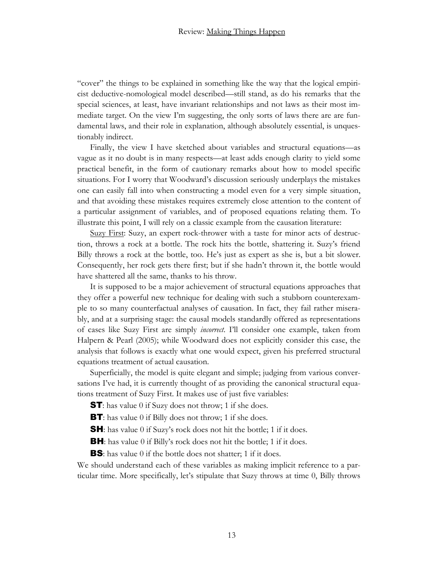"cover" the things to be explained in something like the way that the logical empiricist deductive-nomological model described—still stand, as do his remarks that the special sciences, at least, have invariant relationships and not laws as their most immediate target. On the view I'm suggesting, the only sorts of laws there are are fundamental laws, and their role in explanation, although absolutely essential, is unquestionably indirect.

Finally, the view I have sketched about variables and structural equations—as vague as it no doubt is in many respects—at least adds enough clarity to yield some practical benefit, in the form of cautionary remarks about how to model specific situations. For I worry that Woodward's discussion seriously underplays the mistakes one can easily fall into when constructing a model even for a very simple situation, and that avoiding these mistakes requires extremely close attention to the content of a particular assignment of variables, and of proposed equations relating them. To illustrate this point, I will rely on a classic example from the causation literature:

Suzy First: Suzy, an expert rock-thrower with a taste for minor acts of destruction, throws a rock at a bottle. The rock hits the bottle, shattering it. Suzy's friend Billy throws a rock at the bottle, too. He's just as expert as she is, but a bit slower. Consequently, her rock gets there first; but if she hadn't thrown it, the bottle would have shattered all the same, thanks to his throw.

It is supposed to be a major achievement of structural equations approaches that they offer a powerful new technique for dealing with such a stubborn counterexample to so many counterfactual analyses of causation. In fact, they fail rather miserably, and at a surprising stage: the causal models standardly offered as representations of cases like Suzy First are simply *incorrect*. I'll consider one example, taken from Halpern & Pearl (2005); while Woodward does not explicitly consider this case, the analysis that follows is exactly what one would expect, given his preferred structural equations treatment of actual causation.

Superficially, the model is quite elegant and simple; judging from various conversations I've had, it is currently thought of as providing the canonical structural equations treatment of Suzy First. It makes use of just five variables:

**ST**: has value 0 if Suzy does not throw; 1 if she does.

**BT**: has value 0 if Billy does not throw; 1 if she does.

**SH**: has value 0 if Suzy's rock does not hit the bottle; 1 if it does.

**BH**: has value 0 if Billy's rock does not hit the bottle; 1 if it does.

**BS**: has value 0 if the bottle does not shatter; 1 if it does.

We should understand each of these variables as making implicit reference to a particular time. More specifically, let's stipulate that Suzy throws at time 0, Billy throws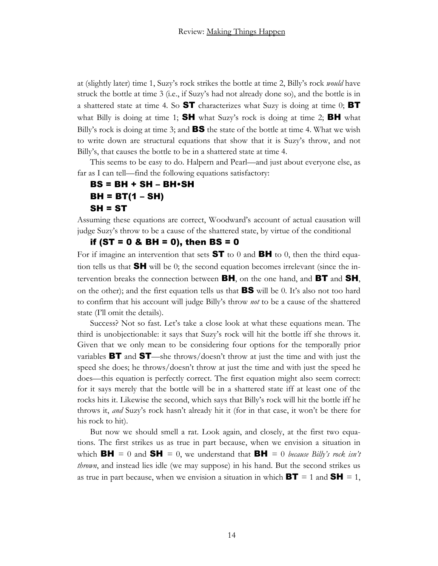at (slightly later) time 1, Suzy's rock strikes the bottle at time 2, Billy's rock *would* have struck the bottle at time 3 (i.e., if Suzy's had not already done so), and the bottle is in a shattered state at time 4. So  $ST$  characterizes what Suzy is doing at time 0; BT what Billy is doing at time 1;  $SH$  what Suzy's rock is doing at time 2;  $BH$  what Billy's rock is doing at time 3; and **BS** the state of the bottle at time 4. What we wish to write down are structural equations that show that it is Suzy's throw, and not Billy's, that causes the bottle to be in a shattered state at time 4.

This seems to be easy to do. Halpern and Pearl—and just about everyone else, as far as I can tell—find the following equations satisfactory:

## $BS = BH + SH - BH \cdot SH$  $BH = BT(1 - SH)$  $SH = ST$

Assuming these equations are correct, Woodward's account of actual causation will judge Suzy's throw to be a cause of the shattered state, by virtue of the conditional

if (ST =  $0 \& BH = 0$ ), then BS =  $0$ 

For if imagine an intervention that sets  $ST$  to 0 and  $BH$  to 0, then the third equation tells us that SH will be 0; the second equation becomes irrelevant (since the intervention breaks the connection between **BH**, on the one hand, and **BT** and **SH**, on the other); and the first equation tells us that BS will be 0. It's also not too hard to confirm that his account will judge Billy's throw *not* to be a cause of the shattered state (I'll omit the details).

Success? Not so fast. Let's take a close look at what these equations mean. The third is unobjectionable: it says that Suzy's rock will hit the bottle iff she throws it. Given that we only mean to be considering four options for the temporally prior variables **BT** and **ST**—she throws/doesn't throw at just the time and with just the speed she does; he throws/doesn't throw at just the time and with just the speed he does—this equation is perfectly correct. The first equation might also seem correct: for it says merely that the bottle will be in a shattered state iff at least one of the rocks hits it. Likewise the second, which says that Billy's rock will hit the bottle iff he throws it, *and* Suzy's rock hasn't already hit it (for in that case, it won't be there for his rock to hit).

But now we should smell a rat. Look again, and closely, at the first two equations. The first strikes us as true in part because, when we envision a situation in which **BH** = 0 and **SH** = 0, we understand that **BH** = 0 *because Billy's rock isn't thrown*, and instead lies idle (we may suppose) in his hand. But the second strikes us as true in part because, when we envision a situation in which  $BT = 1$  and  $SH = 1$ ,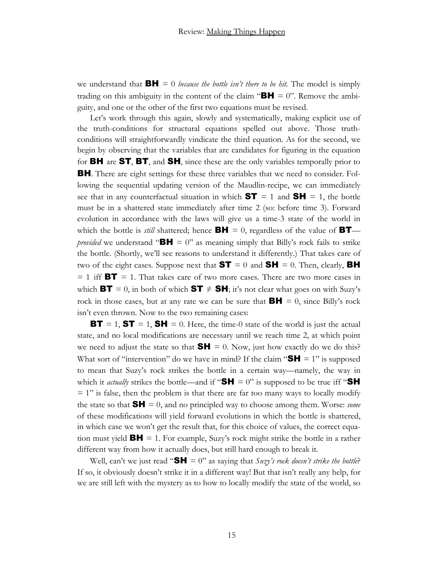we understand that  $BH = 0$  *because the bottle isn't there to be hit*. The model is simply trading on this ambiguity in the content of the claim " $BH = 0$ ". Remove the ambiguity, and one or the other of the first two equations must be revised.

Let's work through this again, slowly and systematically, making explicit use of the truth-conditions for structural equations spelled out above. Those truthconditions will straightforwardly vindicate the third equation. As for the second, we begin by observing that the variables that are candidates for figuring in the equation for **BH** are **ST, BT,** and **SH**, since these are the only variables temporally prior to BH. There are eight settings for these three variables that we need to consider. Following the sequential updating version of the Maudlin-recipe, we can immediately see that in any counterfactual situation in which  $ST = 1$  and  $SH = 1$ , the bottle must be in a shattered state immediately after time 2 (so: before time 3). Forward evolution in accordance with the laws will give us a time-3 state of the world in which the bottle is *still* shattered; hence  $BH = 0$ , regardless of the value of **BT** *provided* we understand " $BH = 0$ " as meaning simply that Billy's rock fails to strike the bottle. (Shortly, we'll see reasons to understand it differently.) That takes care of two of the eight cases. Suppose next that  $ST = 0$  and  $SH = 0$ . Then, clearly, BH  $= 1$  iff **BT**  $= 1$ . That takes care of two more cases. There are two more cases in which **BT** = 0, in both of which **ST**  $\neq$  **SH**; it's not clear what goes on with Suzy's rock in those cases, but at any rate we can be sure that  $\mathbf{BH} = 0$ , since Billy's rock isn't even thrown. Now to the two remaining cases:

**BT** = 1, **ST** = 1, **SH** = 0. Here, the time-0 state of the world is just the actual state, and no local modifications are necessary until we reach time 2, at which point we need to adjust the state so that  $SH = 0$ . Now, just how exactly do we do this? What sort of "intervention" do we have in mind? If the claim " $\mathbf{S}\mathbf{H} = 1$ " is supposed to mean that Suzy's rock strikes the bottle in a certain way—namely, the way in which it *actually* strikes the bottle—and if " $SH = 0$ " is supposed to be true iff " $SH$  $= 1$ " is false, then the problem is that there are far too many ways to locally modify the state so that  $\mathsf{SH} = 0$ , and no principled way to choose among them. Worse: *some* of these modifications will yield forward evolutions in which the bottle is shattered, in which case we won't get the result that, for this choice of values, the correct equation must yield  $\mathbf{BH} = 1$ . For example, Suzy's rock might strike the bottle in a rather different way from how it actually does, but still hard enough to break it.

Well, can't we just read " $SH = 0$ " as saying that  $S \mu z y' s$  *rock doesn't strike the bottle?* If so, it obviously doesn't strike it in a different way! But that isn't really any help, for we are still left with the mystery as to how to locally modify the state of the world, so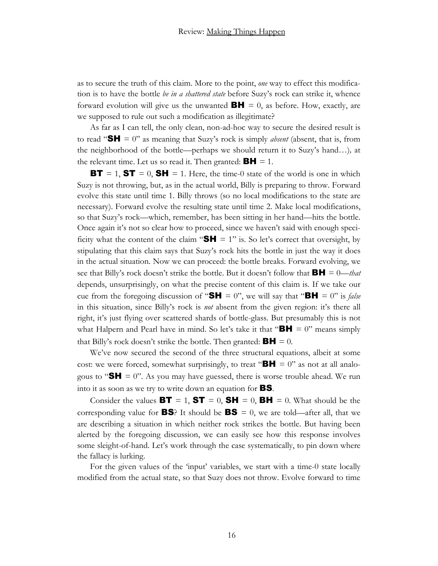as to secure the truth of this claim. More to the point, *one* way to effect this modification is to have the bottle *be in a shattered state* before Suzy's rock can strike it, whence forward evolution will give us the unwanted  $\mathbf{BH} = 0$ , as before. How, exactly, are we supposed to rule out such a modification as illegitimate?

As far as I can tell, the only clean, non-ad-hoc way to secure the desired result is to read "SH = 0" as meaning that Suzy's rock is simply *absent* (absent, that is, from the neighborhood of the bottle—perhaps we should return it to Suzy's hand…)*,* at the relevant time. Let us so read it. Then granted:  $BH = 1$ .

**BT** = 1, **ST** = 0, **SH** = 1. Here, the time-0 state of the world is one in which Suzy is not throwing, but, as in the actual world, Billy is preparing to throw. Forward evolve this state until time 1. Billy throws (so no local modifications to the state are necessary). Forward evolve the resulting state until time 2. Make local modifications, so that Suzy's rock—which, remember, has been sitting in her hand—hits the bottle. Once again it's not so clear how to proceed, since we haven't said with enough specificity what the content of the claim " $SH = 1$ " is. So let's correct that oversight, by stipulating that this claim says that Suzy's rock hits the bottle in just the way it does in the actual situation. Now we can proceed: the bottle breaks. Forward evolving, we see that Billy's rock doesn't strike the bottle. But it doesn't follow that BH = 0—*that* depends, unsurprisingly, on what the precise content of this claim is. If we take our cue from the foregoing discussion of "**SH** = 0", we will say that "**BH** = 0" is *false* in this situation, since Billy's rock is *not* absent from the given region: it's there all right, it's just flying over scattered shards of bottle-glass. But presumably this is not what Halpern and Pearl have in mind. So let's take it that " $BH = 0$ " means simply that Billy's rock doesn't strike the bottle. Then granted:  $BH = 0$ .

We've now secured the second of the three structural equations, albeit at some cost: we were forced, somewhat surprisingly, to treat " $BH = 0$ " as not at all analogous to " $SH = 0$ ". As you may have guessed, there is worse trouble ahead. We run into it as soon as we try to write down an equation for BS.

Consider the values  $BT = 1$ ,  $ST = 0$ ,  $SH = 0$ ,  $BH = 0$ . What should be the corresponding value for **BS**? It should be **BS** = 0, we are told—after all, that we are describing a situation in which neither rock strikes the bottle. But having been alerted by the foregoing discussion, we can easily see how this response involves some sleight-of-hand. Let's work through the case systematically, to pin down where the fallacy is lurking.

For the given values of the 'input' variables, we start with a time-0 state locally modified from the actual state, so that Suzy does not throw. Evolve forward to time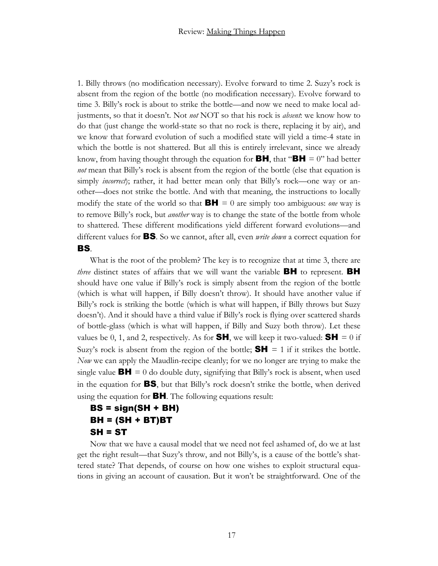1. Billy throws (no modification necessary). Evolve forward to time 2. Suzy's rock is absent from the region of the bottle (no modification necessary). Evolve forward to time 3. Billy's rock is about to strike the bottle—and now we need to make local adjustments, so that it doesn't. Not *not* NOT so that his rock is *absent*: we know how to do that (just change the world-state so that no rock is there, replacing it by air), and we know that forward evolution of such a modified state will yield a time-4 state in which the bottle is not shattered. But all this is entirely irrelevant, since we already know, from having thought through the equation for **BH**, that "**BH** = 0" had better *not* mean that Billy's rock is absent from the region of the bottle (else that equation is simply *incorrect*); rather, it had better mean only that Billy's rock—one way or another—does not strike the bottle. And with that meaning, the instructions to locally modify the state of the world so that  $BH = 0$  are simply too ambiguous: *one* way is to remove Billy's rock, but *another* way is to change the state of the bottle from whole to shattered. These different modifications yield different forward evolutions—and different values for BS. So we cannot, after all, even *write down* a correct equation for BS.

What is the root of the problem? The key is to recognize that at time 3, there are *three* distinct states of affairs that we will want the variable **BH** to represent. **BH** should have one value if Billy's rock is simply absent from the region of the bottle (which is what will happen, if Billy doesn't throw). It should have another value if Billy's rock is striking the bottle (which is what will happen, if Billy throws but Suzy doesn't). And it should have a third value if Billy's rock is flying over scattered shards of bottle-glass (which is what will happen, if Billy and Suzy both throw). Let these values be 0, 1, and 2, respectively. As for **SH**, we will keep it two-valued: **SH** = 0 if Suzy's rock is absent from the region of the bottle;  $SH = 1$  if it strikes the bottle. *Now* we can apply the Maudlin-recipe cleanly; for we no longer are trying to make the single value  $\mathbf{BH} = 0$  do double duty, signifying that Billy's rock is absent, when used in the equation for BS, but that Billy's rock doesn't strike the bottle, when derived using the equation for BH. The following equations result:

## BS = sign(SH + BH)  $BH = (SH + BT)BT$  $SH = ST$

Now that we have a causal model that we need not feel ashamed of, do we at last get the right result—that Suzy's throw, and not Billy's, is a cause of the bottle's shattered state? That depends, of course on how one wishes to exploit structural equations in giving an account of causation. But it won't be straightforward. One of the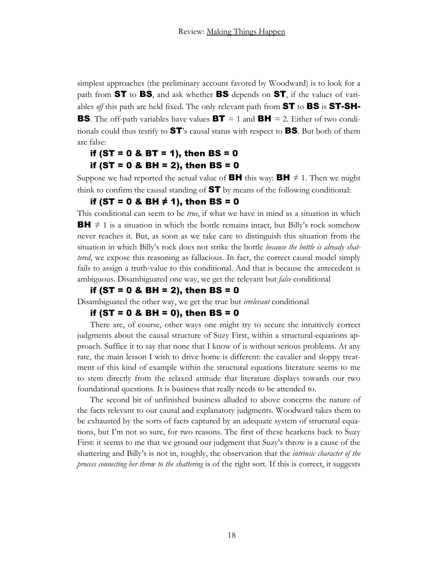simplest approaches (the preliminary account favored by Woodward) is to look for a path from **ST** to **BS**, and ask whether **BS** depends on **ST**, if the values of variables *off* this path are held fixed. The only relevant path from ST to BS is ST-SH-**BS**. The off-path variables have values  $BT = 1$  and  $BH = 2$ . Either of two conditionals could thus testify to ST's causal status with respect to BS. But both of them are false:

## if (ST =  $0 \& B$ T = 1), then BS =  $0$ if (ST =  $0 \& BH = 2$ ), then BS =  $0$

Suppose we had reported the actual value of **BH** this way: **BH**  $\neq$  1. Then we might think to confirm the causal standing of  $ST$  by means of the following conditional:

#### if (ST = 0 & BH ≠ 1), then BS = 0

This conditional can seem to be *true*, if what we have in mind as a situation in which **BH**  $\neq$  1 is a situation in which the bottle remains intact, but Billy's rock somehow never reaches it. But, as soon as we take care to distinguish this situation from the situation in which Billy's rock does not strike the bottle *because the bottle is already shattered*, we expose this reasoning as fallacious. In fact, the correct causal model simply fails to assign a truth-value to this conditional. And that is because the antecedent is ambiguous. Disambiguated one way, we get the relevant but *false* conditional

### if (ST = 0 & BH = 2), then BS = 0

Disambiguated the other way, we get the true but *irrelevant* conditional

#### if (ST = 0 & BH = 0), then BS = 0

There are, of course, other ways one might try to secure the intuitively correct judgments about the causal structure of Suzy First, within a structural-equations approach. Suffice it to say that none that I know of is without serious problems. At any rate, the main lesson I wish to drive home is different: the cavalier and sloppy treatment of this kind of example within the structural equations literature seems to me to stem directly from the relaxed attitude that literature displays towards our two foundational questions. It is business that really needs to be attended to.

The second bit of unfinished business alluded to above concerns the nature of the facts relevant to our causal and explanatory judgments. Woodward takes them to be exhausted by the sorts of facts captured by an adequate system of structural equations, but I'm not so sure, for two reasons. The first of these hearkens back to Suzy First: it seems to me that we ground our judgment that Suzy's throw is a cause of the shattering and Billy's is not in, roughly, the observation that the *intrinsic character of the process connecting her throw to the shattering* is of the right sort. If this is correct, it suggests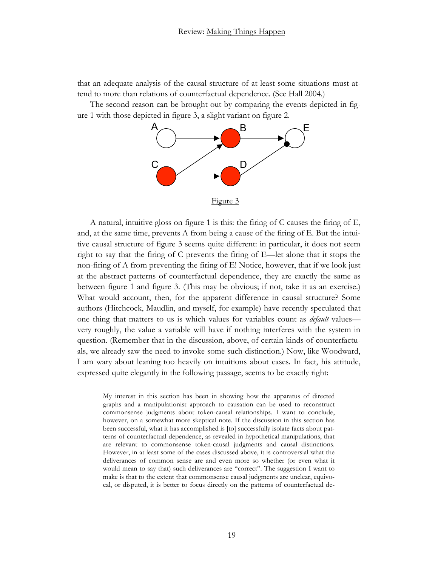that an adequate analysis of the causal structure of at least some situations must attend to more than relations of counterfactual dependence. (See Hall 2004.)

The second reason can be brought out by comparing the events depicted in figure 1 with those depicted in figure 3, a slight variant on figure 2.



A natural, intuitive gloss on figure 1 is this: the firing of C causes the firing of E, and, at the same time, prevents A from being a cause of the firing of E. But the intuitive causal structure of figure 3 seems quite different: in particular, it does not seem right to say that the firing of C prevents the firing of E—let alone that it stops the non-firing of A from preventing the firing of E! Notice, however, that if we look just at the abstract patterns of counterfactual dependence, they are exactly the same as between figure 1 and figure 3. (This may be obvious; if not, take it as an exercise.) What would account, then, for the apparent difference in causal structure? Some authors (Hitchcock, Maudlin, and myself, for example) have recently speculated that one thing that matters to us is which values for variables count as *default* values very roughly, the value a variable will have if nothing interferes with the system in question. (Remember that in the discussion, above, of certain kinds of counterfactuals, we already saw the need to invoke some such distinction.) Now, like Woodward, I am wary about leaning too heavily on intuitions about cases. In fact, his attitude, expressed quite elegantly in the following passage, seems to be exactly right:

My interest in this section has been in showing how the apparatus of directed graphs and a manipulationist approach to causation can be used to reconstruct commonsense judgments about token-causal relationships. I want to conclude, however, on a somewhat more skeptical note. If the discussion in this section has been successful, what it has accomplished is [to] successfully isolate facts about patterns of counterfactual dependence, as revealed in hypothetical manipulations, that are relevant to commonsense token-causal judgments and causal distinctions. However, in at least some of the cases discussed above, it is controversial what the deliverances of common sense are and even more so whether (or even what it would mean to say that) such deliverances are "correct". The suggestion I want to make is that to the extent that commonsense causal judgments are unclear, equivocal, or disputed, it is better to focus directly on the patterns of counterfactual de-